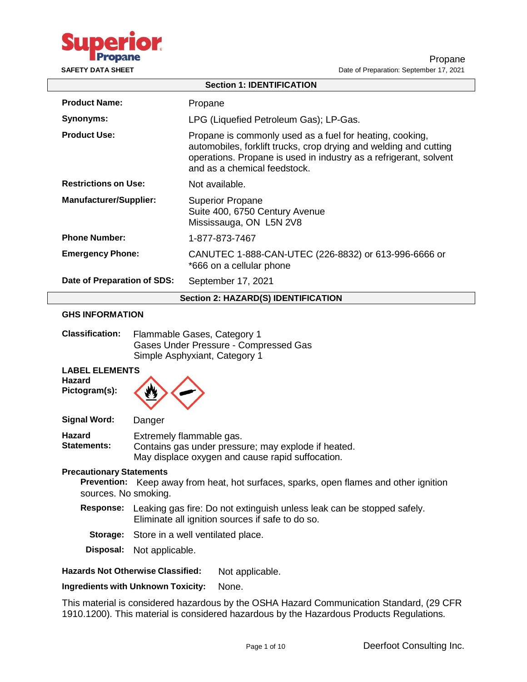

| <b>Section 1: IDENTIFICATION</b>           |                                                                                                                                                                                                                                    |  |  |
|--------------------------------------------|------------------------------------------------------------------------------------------------------------------------------------------------------------------------------------------------------------------------------------|--|--|
| <b>Product Name:</b>                       | Propane                                                                                                                                                                                                                            |  |  |
| Synonyms:                                  | LPG (Liquefied Petroleum Gas); LP-Gas.                                                                                                                                                                                             |  |  |
| <b>Product Use:</b>                        | Propane is commonly used as a fuel for heating, cooking,<br>automobiles, forklift trucks, crop drying and welding and cutting<br>operations. Propane is used in industry as a refrigerant, solvent<br>and as a chemical feedstock. |  |  |
| <b>Restrictions on Use:</b>                | Not available.                                                                                                                                                                                                                     |  |  |
| <b>Manufacturer/Supplier:</b>              | <b>Superior Propane</b><br>Suite 400, 6750 Century Avenue<br>Mississauga, ON L5N 2V8                                                                                                                                               |  |  |
| <b>Phone Number:</b>                       | 1-877-873-7467                                                                                                                                                                                                                     |  |  |
| <b>Emergency Phone:</b>                    | CANUTEC 1-888-CAN-UTEC (226-8832) or 613-996-6666 or<br>*666 on a cellular phone                                                                                                                                                   |  |  |
| Date of Preparation of SDS:                | September 17, 2021                                                                                                                                                                                                                 |  |  |
| <b>Section 2: HAZARD(S) IDENTIFICATION</b> |                                                                                                                                                                                                                                    |  |  |

# **GHS INFORMATION**

| <b>Classification:</b> | Flammable Gases, Category 1           |
|------------------------|---------------------------------------|
|                        | Gases Under Pressure - Compressed Gas |
|                        | Simple Asphyxiant, Category 1         |

**LABEL ELEMENTS**

**Hazard Pictogram(s):**



**Signal Word:** Danger

**Hazard Statements:** Extremely flammable gas. Contains gas under pressure; may explode if heated. May displace oxygen and cause rapid suffocation.

#### **Precautionary Statements**

**Prevention:** Keep away from heat, hot surfaces, sparks, open flames and other ignition sources. No smoking.

- **Response:** Leaking gas fire: Do not extinguish unless leak can be stopped safely. Eliminate all ignition sources if safe to do so.
	- **Storage:** Store in a well ventilated place.
- **Disposal:** Not applicable.

# **Hazards Not Otherwise Classified:** Not applicable.

**Ingredients with Unknown Toxicity:** None.

This material is considered hazardous by the OSHA Hazard Communication Standard, (29 CFR 1910.1200). This material is considered hazardous by the Hazardous Products Regulations.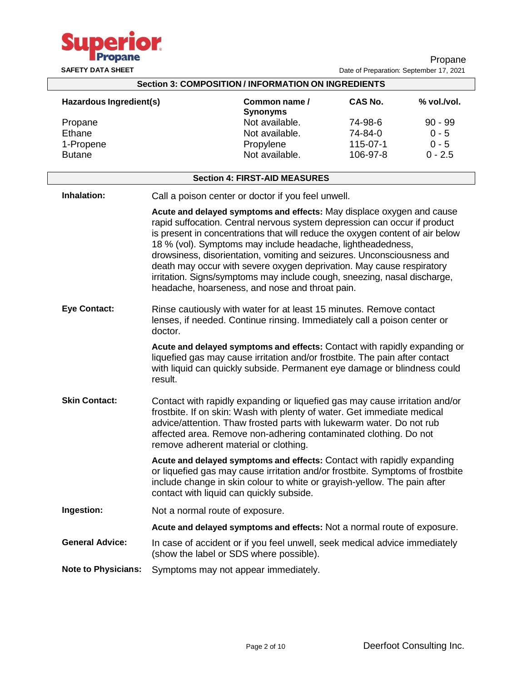

Propane **SAFETY DATA SHEET** DATA SHEET **DATA** SHEET

| <b>Section 3: COMPOSITION / INFORMATION ON INGREDIENTS</b> |                                                                                                                                                                                                                                                 |                                                                                                                                                                                                                                                                                                                                                                                                                                                                                                                                                                                      |                |             |  |
|------------------------------------------------------------|-------------------------------------------------------------------------------------------------------------------------------------------------------------------------------------------------------------------------------------------------|--------------------------------------------------------------------------------------------------------------------------------------------------------------------------------------------------------------------------------------------------------------------------------------------------------------------------------------------------------------------------------------------------------------------------------------------------------------------------------------------------------------------------------------------------------------------------------------|----------------|-------------|--|
| Hazardous Ingredient(s)                                    |                                                                                                                                                                                                                                                 | Common name /<br><b>Synonyms</b>                                                                                                                                                                                                                                                                                                                                                                                                                                                                                                                                                     | <b>CAS No.</b> | % vol./vol. |  |
| Propane                                                    |                                                                                                                                                                                                                                                 | Not available.                                                                                                                                                                                                                                                                                                                                                                                                                                                                                                                                                                       | 74-98-6        | $90 - 99$   |  |
| Ethane                                                     |                                                                                                                                                                                                                                                 | Not available.                                                                                                                                                                                                                                                                                                                                                                                                                                                                                                                                                                       | 74-84-0        | $0 - 5$     |  |
| 1-Propene                                                  |                                                                                                                                                                                                                                                 | Propylene                                                                                                                                                                                                                                                                                                                                                                                                                                                                                                                                                                            | 115-07-1       | $0 - 5$     |  |
| <b>Butane</b>                                              |                                                                                                                                                                                                                                                 | Not available.                                                                                                                                                                                                                                                                                                                                                                                                                                                                                                                                                                       | 106-97-8       | $0 - 2.5$   |  |
|                                                            |                                                                                                                                                                                                                                                 |                                                                                                                                                                                                                                                                                                                                                                                                                                                                                                                                                                                      |                |             |  |
|                                                            |                                                                                                                                                                                                                                                 | <b>Section 4: FIRST-AID MEASURES</b>                                                                                                                                                                                                                                                                                                                                                                                                                                                                                                                                                 |                |             |  |
| Inhalation:                                                |                                                                                                                                                                                                                                                 | Call a poison center or doctor if you feel unwell.                                                                                                                                                                                                                                                                                                                                                                                                                                                                                                                                   |                |             |  |
|                                                            |                                                                                                                                                                                                                                                 | Acute and delayed symptoms and effects: May displace oxygen and cause<br>rapid suffocation. Central nervous system depression can occur if product<br>is present in concentrations that will reduce the oxygen content of air below<br>18 % (vol). Symptoms may include headache, lightheadedness,<br>drowsiness, disorientation, vomiting and seizures. Unconsciousness and<br>death may occur with severe oxygen deprivation. May cause respiratory<br>irritation. Signs/symptoms may include cough, sneezing, nasal discharge,<br>headache, hoarseness, and nose and throat pain. |                |             |  |
| <b>Eye Contact:</b>                                        | doctor.                                                                                                                                                                                                                                         | Rinse cautiously with water for at least 15 minutes. Remove contact<br>lenses, if needed. Continue rinsing. Immediately call a poison center or                                                                                                                                                                                                                                                                                                                                                                                                                                      |                |             |  |
|                                                            | Acute and delayed symptoms and effects: Contact with rapidly expanding or<br>liquefied gas may cause irritation and/or frostbite. The pain after contact<br>with liquid can quickly subside. Permanent eye damage or blindness could<br>result. |                                                                                                                                                                                                                                                                                                                                                                                                                                                                                                                                                                                      |                |             |  |
| <b>Skin Contact:</b>                                       |                                                                                                                                                                                                                                                 | Contact with rapidly expanding or liquefied gas may cause irritation and/or<br>frostbite. If on skin: Wash with plenty of water. Get immediate medical<br>advice/attention. Thaw frosted parts with lukewarm water. Do not rub<br>affected area. Remove non-adhering contaminated clothing. Do not<br>remove adherent material or clothing.                                                                                                                                                                                                                                          |                |             |  |
|                                                            |                                                                                                                                                                                                                                                 | Acute and delayed symptoms and effects: Contact with rapidly expanding<br>or liquefied gas may cause irritation and/or frostbite. Symptoms of frostbite<br>include change in skin colour to white or grayish-yellow. The pain after<br>contact with liquid can quickly subside.                                                                                                                                                                                                                                                                                                      |                |             |  |
| Ingestion:                                                 |                                                                                                                                                                                                                                                 | Not a normal route of exposure.                                                                                                                                                                                                                                                                                                                                                                                                                                                                                                                                                      |                |             |  |
|                                                            |                                                                                                                                                                                                                                                 | Acute and delayed symptoms and effects: Not a normal route of exposure.                                                                                                                                                                                                                                                                                                                                                                                                                                                                                                              |                |             |  |
| <b>General Advice:</b>                                     |                                                                                                                                                                                                                                                 | In case of accident or if you feel unwell, seek medical advice immediately<br>(show the label or SDS where possible).                                                                                                                                                                                                                                                                                                                                                                                                                                                                |                |             |  |
| <b>Note to Physicians:</b>                                 |                                                                                                                                                                                                                                                 | Symptoms may not appear immediately.                                                                                                                                                                                                                                                                                                                                                                                                                                                                                                                                                 |                |             |  |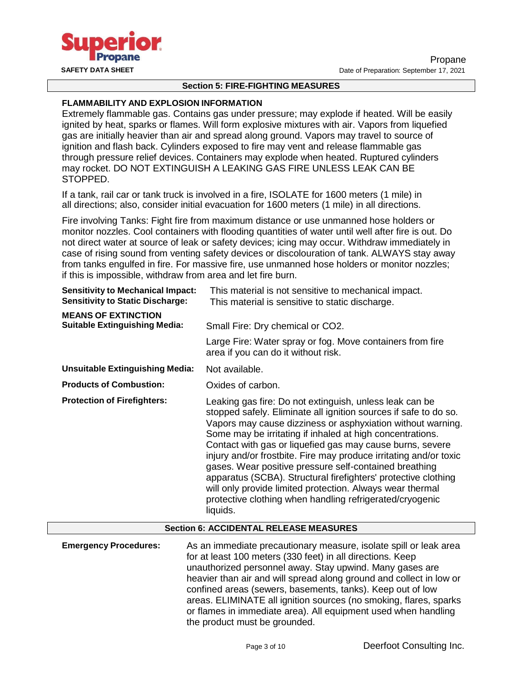

#### **Section 5: FIRE-FIGHTING MEASURES**

#### **FLAMMABILITY AND EXPLOSION INFORMATION**

Extremely flammable gas. Contains gas under pressure; may explode if heated. Will be easily ignited by heat, sparks or flames. Will form explosive mixtures with air. Vapors from liquefied gas are initially heavier than air and spread along ground. Vapors may travel to source of ignition and flash back. Cylinders exposed to fire may vent and release flammable gas through pressure relief devices. Containers may explode when heated. Ruptured cylinders may rocket. DO NOT EXTINGUISH A LEAKING GAS FIRE UNLESS LEAK CAN BE STOPPED.

If a tank, rail car or tank truck is involved in a fire, ISOLATE for 1600 meters (1 mile) in all directions; also, consider initial evacuation for 1600 meters (1 mile) in all directions.

Fire involving Tanks: Fight fire from maximum distance or use unmanned hose holders or monitor nozzles. Cool containers with flooding quantities of water until well after fire is out. Do not direct water at source of leak or safety devices; icing may occur. Withdraw immediately in case of rising sound from venting safety devices or discolouration of tank. ALWAYS stay away from tanks engulfed in fire. For massive fire, use unmanned hose holders or monitor nozzles; if this is impossible, withdraw from area and let fire burn.

| <b>Sensitivity to Mechanical Impact:</b><br><b>Sensitivity to Static Discharge:</b> | This material is not sensitive to mechanical impact.<br>This material is sensitive to static discharge.                                                                                                                                                                                                                                                                                                                                                                                                                                                                                                                                                    |  |  |
|-------------------------------------------------------------------------------------|------------------------------------------------------------------------------------------------------------------------------------------------------------------------------------------------------------------------------------------------------------------------------------------------------------------------------------------------------------------------------------------------------------------------------------------------------------------------------------------------------------------------------------------------------------------------------------------------------------------------------------------------------------|--|--|
| <b>MEANS OF EXTINCTION</b><br><b>Suitable Extinguishing Media:</b>                  | Small Fire: Dry chemical or CO2.                                                                                                                                                                                                                                                                                                                                                                                                                                                                                                                                                                                                                           |  |  |
|                                                                                     | Large Fire: Water spray or fog. Move containers from fire<br>area if you can do it without risk.                                                                                                                                                                                                                                                                                                                                                                                                                                                                                                                                                           |  |  |
| <b>Unsuitable Extinguishing Media:</b>                                              | Not available.                                                                                                                                                                                                                                                                                                                                                                                                                                                                                                                                                                                                                                             |  |  |
| <b>Products of Combustion:</b>                                                      | Oxides of carbon.                                                                                                                                                                                                                                                                                                                                                                                                                                                                                                                                                                                                                                          |  |  |
| <b>Protection of Firefighters:</b>                                                  | Leaking gas fire: Do not extinguish, unless leak can be<br>stopped safely. Eliminate all ignition sources if safe to do so.<br>Vapors may cause dizziness or asphyxiation without warning.<br>Some may be irritating if inhaled at high concentrations.<br>Contact with gas or liquefied gas may cause burns, severe<br>injury and/or frostbite. Fire may produce irritating and/or toxic<br>gases. Wear positive pressure self-contained breathing<br>apparatus (SCBA). Structural firefighters' protective clothing<br>will only provide limited protection. Always wear thermal<br>protective clothing when handling refrigerated/cryogenic<br>liquids. |  |  |

#### **Section 6: ACCIDENTAL RELEASE MEASURES**

**Emergency Procedures:** As an immediate precautionary measure, isolate spill or leak area for at least 100 meters (330 feet) in all directions. Keep unauthorized personnel away. Stay upwind. Many gases are heavier than air and will spread along ground and collect in low or confined areas (sewers, basements, tanks). Keep out of low areas. ELIMINATE all ignition sources (no smoking, flares, sparks or flames in immediate area). All equipment used when handling the product must be grounded.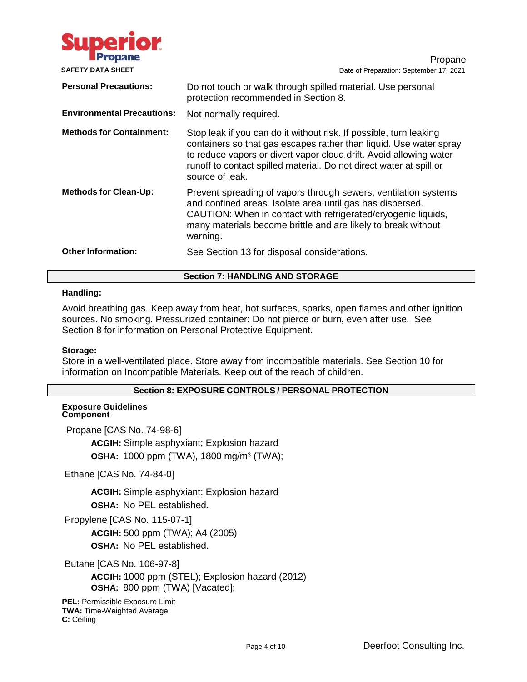

Propane **SAFETY DATA SHEET** DATA **DATA** DATE: **SEPTEMBER 2021** Date of Preparation: September 17, 2021 **Personal Precautions:** Do not touch or walk through spilled material. Use personal protection recommended in Section 8. **Environmental Precautions:** Not normally required. **Methods for Containment:** Stop leak if you can do it without risk. If possible, turn leaking containers so that gas escapes rather than liquid. Use water spray to reduce vapors or divert vapor cloud drift. Avoid allowing water runoff to contact spilled material. Do not direct water at spill or source of leak. **Methods for Clean-Up:** Prevent spreading of vapors through sewers, ventilation systems and confined areas. Isolate area until gas has dispersed. CAUTION: When in contact with refrigerated/cryogenic liquids, many materials become brittle and are likely to break without warning. **Other Information:** See Section 13 for disposal considerations.

# **Section 7: HANDLING AND STORAGE**

# **Handling:**

Avoid breathing gas. Keep away from heat, hot surfaces, sparks, open flames and other ignition sources. No smoking. Pressurized container: Do not pierce or burn, even after use. See Section 8 for information on Personal Protective Equipment.

#### **Storage:**

Store in a well-ventilated place. Store away from incompatible materials. See Section 10 for information on Incompatible Materials. Keep out of the reach of children.

# **Section 8: EXPOSURE CONTROLS / PERSONAL PROTECTION**

#### **Exposure Guidelines Component**

Propane [CAS No. 74-98-6]

**ACGIH:** Simple asphyxiant; Explosion hazard **OSHA:** 1000 ppm (TWA), 1800 mg/m³ (TWA);

Ethane [CAS No. 74-84-0]

**ACGIH:** Simple asphyxiant; Explosion hazard **OSHA:** No PEL established.

Propylene [CAS No. 115-07-1] **ACGIH:** 500 ppm (TWA); A4 (2005) **OSHA:** No PEL established.

Butane [CAS No. 106-97-8]

**ACGIH:** 1000 ppm (STEL); Explosion hazard (2012) **OSHA:** 800 ppm (TWA) [Vacated];

**PEL:** Permissible Exposure Limit **TWA:** Time-Weighted Average **C:** Ceiling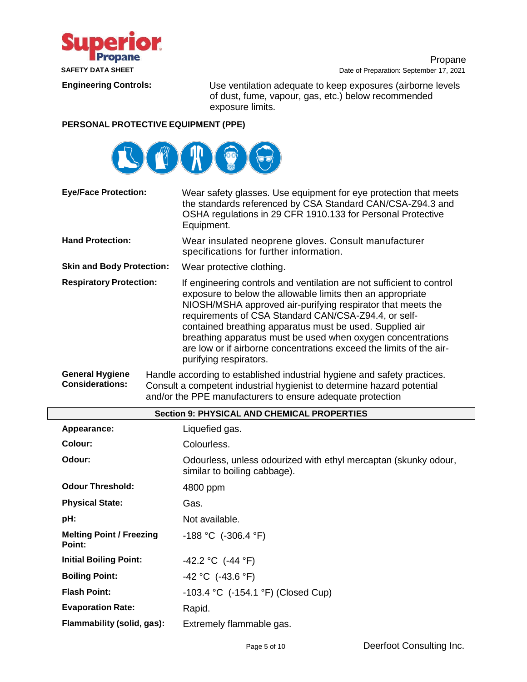

Propane **SAFETY DATA SHEET DATA SHEET Date of Preparation: September 17, 2021** 

**Engineering Controls:** Use ventilation adequate to keep exposures (airborne levels of dust, fume, vapour, gas, etc.) below recommended exposure limits.

# **PERSONAL PROTECTIVE EQUIPMENT (PPE)**



| <b>Eye/Face Protection:</b>      | Wear safety glasses. Use equipment for eye protection that meets<br>the standards referenced by CSA Standard CAN/CSA-Z94.3 and<br>OSHA regulations in 29 CFR 1910.133 for Personal Protective<br>Equipment.                                                                                                                                                                                                                                                                            |  |
|----------------------------------|----------------------------------------------------------------------------------------------------------------------------------------------------------------------------------------------------------------------------------------------------------------------------------------------------------------------------------------------------------------------------------------------------------------------------------------------------------------------------------------|--|
| <b>Hand Protection:</b>          | Wear insulated neoprene gloves. Consult manufacturer<br>specifications for further information.                                                                                                                                                                                                                                                                                                                                                                                        |  |
| <b>Skin and Body Protection:</b> | Wear protective clothing.                                                                                                                                                                                                                                                                                                                                                                                                                                                              |  |
| <b>Respiratory Protection:</b>   | If engineering controls and ventilation are not sufficient to control<br>exposure to below the allowable limits then an appropriate<br>NIOSH/MSHA approved air-purifying respirator that meets the<br>requirements of CSA Standard CAN/CSA-Z94.4, or self-<br>contained breathing apparatus must be used. Supplied air<br>breathing apparatus must be used when oxygen concentrations<br>are low or if airborne concentrations exceed the limits of the air-<br>purifying respirators. |  |
| <b>General Hygiene</b>           | Handle according to established industrial hygiene and safety practices.                                                                                                                                                                                                                                                                                                                                                                                                               |  |

**Considerations:** Consult a competent industrial hygienist to determine hazard potential and/or the PPE manufacturers to ensure adequate protection

|                                           | <b>Section 9: PHYSICAL AND CHEMICAL PROPERTIES</b>                                              |  |  |  |
|-------------------------------------------|-------------------------------------------------------------------------------------------------|--|--|--|
| Appearance:                               | Liquefied gas.                                                                                  |  |  |  |
| Colour:                                   | Colourless.                                                                                     |  |  |  |
| Odour:                                    | Odourless, unless odourized with ethyl mercaptan (skunky odour,<br>similar to boiling cabbage). |  |  |  |
| <b>Odour Threshold:</b>                   | 4800 ppm                                                                                        |  |  |  |
| <b>Physical State:</b>                    | Gas.                                                                                            |  |  |  |
| pH:                                       | Not available.                                                                                  |  |  |  |
| <b>Melting Point / Freezing</b><br>Point: | $-188$ °C (-306.4 °F)                                                                           |  |  |  |
| <b>Initial Boiling Point:</b>             | $-42.2 °C$ (-44 °F)                                                                             |  |  |  |
| <b>Boiling Point:</b>                     | $-42$ °C (-43.6 °F)                                                                             |  |  |  |
| <b>Flash Point:</b>                       | $-103.4$ °C $(-154.1$ °F) (Closed Cup)                                                          |  |  |  |
| <b>Evaporation Rate:</b>                  | Rapid.                                                                                          |  |  |  |
| Flammability (solid, gas):                | Extremely flammable gas.                                                                        |  |  |  |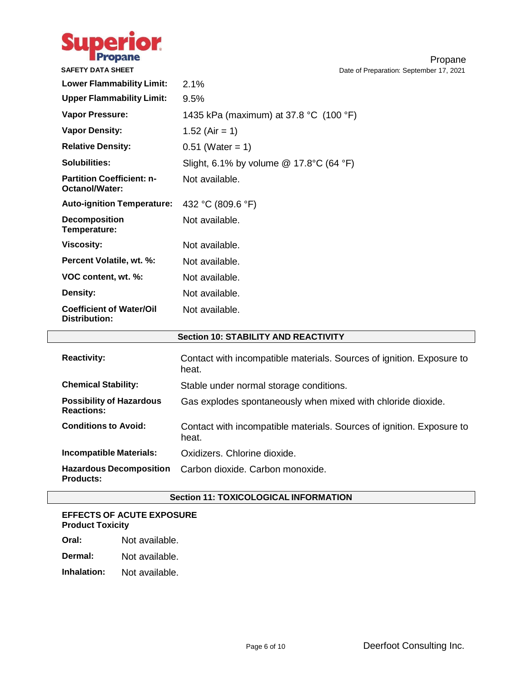

Propane **SAFETY DATA SHEET DATA SHEET Date of Preparation: September 17, 2021** 

| <b>Lower Flammability Limit:</b>                   | 2.1%                                      |
|----------------------------------------------------|-------------------------------------------|
| <b>Upper Flammability Limit:</b>                   | 9.5%                                      |
| Vapor Pressure:                                    | 1435 kPa (maximum) at 37.8 °C (100 °F)    |
| <b>Vapor Density:</b>                              | 1.52 (Air = 1)                            |
| <b>Relative Density:</b>                           | $0.51$ (Water = 1)                        |
| Solubilities:                                      | Slight, 6.1% by volume $@$ 17.8°C (64 °F) |
| <b>Partition Coefficient: n-</b><br>Octanol/Water: | Not available.                            |
| <b>Auto-ignition Temperature:</b>                  | 432 °C (809.6 °F)                         |
| <b>Decomposition</b><br>Temperature:               | Not available.                            |
| <b>Viscosity:</b>                                  | Not available.                            |
| Percent Volatile, wt. %:                           | Not available.                            |
| VOC content, wt. %:                                | Not available.                            |
| Density:                                           | Not available.                            |
| <b>Coefficient of Water/Oil</b><br>Distribution:   | Not available.                            |

# **Section 10: STABILITY AND REACTIVITY**

| <b>Reactivity:</b>                                   | Contact with incompatible materials. Sources of ignition. Exposure to<br>heat. |
|------------------------------------------------------|--------------------------------------------------------------------------------|
| <b>Chemical Stability:</b>                           | Stable under normal storage conditions.                                        |
| <b>Possibility of Hazardous</b><br><b>Reactions:</b> | Gas explodes spontaneously when mixed with chloride dioxide.                   |
| <b>Conditions to Avoid:</b>                          | Contact with incompatible materials. Sources of ignition. Exposure to<br>heat. |
| <b>Incompatible Materials:</b>                       | Oxidizers, Chlorine dioxide.                                                   |
| <b>Hazardous Decomposition</b><br><b>Products:</b>   | Carbon dioxide. Carbon monoxide.                                               |

# **Section 11: TOXICOLOGICAL INFORMATION**

# **EFFECTS OF ACUTE EXPOSURE Product Toxicity**

| Oral: | Not available. |
|-------|----------------|
|       |                |

**Dermal:** Not available.

**Inhalation:** Not available.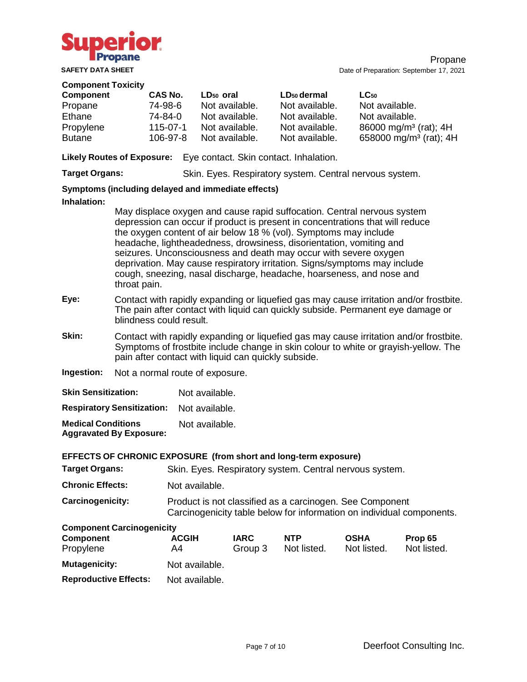

#### **Component Toxicity**

| Component     | CAS No.        | LD <sub>50</sub> oral | LD <sub>50</sub> dermal | $LC_{50}$                          |
|---------------|----------------|-----------------------|-------------------------|------------------------------------|
| Propane       | 74-98-6        | Not available.        | Not available.          | Not available.                     |
| Ethane        | 74-84-0        | Not available.        | Not available.          | Not available.                     |
| Propylene     | $115 - 07 - 1$ | Not available.        | Not available.          | 86000 mg/m <sup>3</sup> (rat); 4H  |
| <b>Butane</b> | $106 - 97 - 8$ | Not available.        | Not available.          | 658000 mg/m <sup>3</sup> (rat); 4H |

**Likely Routes of Exposure:** Eye contact. Skin contact. Inhalation.

**Target Organs:** Skin. Eyes. Respiratory system. Central nervous system.

# **Symptoms (including delayed and immediate effects)**

#### **Inhalation:**

May displace oxygen and cause rapid suffocation. Central nervous system depression can occur if product is present in concentrations that will reduce the oxygen content of air below 18 % (vol). Symptoms may include headache, lightheadedness, drowsiness, disorientation, vomiting and seizures. Unconsciousness and death may occur with severe oxygen deprivation. May cause respiratory irritation. Signs/symptoms may include cough, sneezing, nasal discharge, headache, hoarseness, and nose and throat pain.

- **Eye:** Contact with rapidly expanding or liquefied gas may cause irritation and/or frostbite. The pain after contact with liquid can quickly subside. Permanent eye damage or blindness could result.
- **Skin:** Contact with rapidly expanding or liquefied gas may cause irritation and/or frostbite. Symptoms of frostbite include change in skin colour to white or grayish-yellow. The pain after contact with liquid can quickly subside.
- **Ingestion:** Not a normal route of exposure.

| <b>Skin Sensitization:</b>                                  | Not available. |
|-------------------------------------------------------------|----------------|
| <b>Respiratory Sensitization:</b>                           | Not available. |
| <b>Medical Conditions</b><br><b>Aggravated By Exposure:</b> | Not available. |

| EFFECTS OF CHRONIC EXPOSURE (from short and long-term exposure) |                                                                                                                                   |                                                         |             |             |             |  |
|-----------------------------------------------------------------|-----------------------------------------------------------------------------------------------------------------------------------|---------------------------------------------------------|-------------|-------------|-------------|--|
| <b>Target Organs:</b>                                           |                                                                                                                                   | Skin. Eyes. Respiratory system. Central nervous system. |             |             |             |  |
| <b>Chronic Effects:</b>                                         | Not available.                                                                                                                    |                                                         |             |             |             |  |
| <b>Carcinogenicity:</b>                                         | Product is not classified as a carcinogen. See Component<br>Carcinogenicity table below for information on individual components. |                                                         |             |             |             |  |
| <b>Component Carcinogenicity</b>                                |                                                                                                                                   |                                                         |             |             |             |  |
| <b>Component</b>                                                | <b>ACGIH</b>                                                                                                                      | <b>IARC</b>                                             | <b>NTP</b>  | <b>OSHA</b> | Prop 65     |  |
| Propylene                                                       | A4                                                                                                                                | Group 3                                                 | Not listed. | Not listed. | Not listed. |  |
| <b>Mutagenicity:</b>                                            | Not available.                                                                                                                    |                                                         |             |             |             |  |
| <b>Reproductive Effects:</b>                                    | Not available.                                                                                                                    |                                                         |             |             |             |  |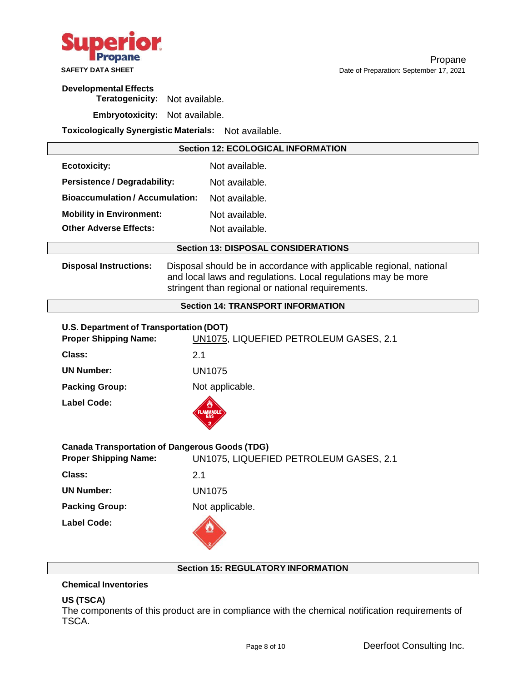

# **Developmental Effects**

**Teratogenicity:** Not available.

**Embryotoxicity:** Not available.

**Toxicologically Synergistic Materials:** Not available.

| <b>Section 12: ECOLOGICAL INFORMATION</b>                               |                                                                                                                                                                                           |  |
|-------------------------------------------------------------------------|-------------------------------------------------------------------------------------------------------------------------------------------------------------------------------------------|--|
| <b>Ecotoxicity:</b>                                                     | Not available.                                                                                                                                                                            |  |
| <b>Persistence / Degradability:</b>                                     | Not available.                                                                                                                                                                            |  |
| <b>Bioaccumulation/Accumulation:</b>                                    | Not available.                                                                                                                                                                            |  |
| <b>Mobility in Environment:</b>                                         | Not available.                                                                                                                                                                            |  |
| <b>Other Adverse Effects:</b>                                           | Not available.                                                                                                                                                                            |  |
|                                                                         | <b>Section 13: DISPOSAL CONSIDERATIONS</b>                                                                                                                                                |  |
| <b>Disposal Instructions:</b>                                           | Disposal should be in accordance with applicable regional, national<br>and local laws and regulations. Local regulations may be more<br>stringent than regional or national requirements. |  |
|                                                                         | <b>Section 14: TRANSPORT INFORMATION</b>                                                                                                                                                  |  |
| U.S. Department of Transportation (DOT)<br><b>Proper Shipping Name:</b> | UN1075, LIQUEFIED PETROLEUM GASES, 2.1                                                                                                                                                    |  |
| Class:                                                                  | 2.1                                                                                                                                                                                       |  |
| <b>UN Number:</b>                                                       | <b>UN1075</b>                                                                                                                                                                             |  |
| <b>Packing Group:</b>                                                   | Not applicable.                                                                                                                                                                           |  |
| <b>Label Code:</b>                                                      |                                                                                                                                                                                           |  |
|                                                                         | <b>Canada Transportation of Dangerous Goods (TDG)</b>                                                                                                                                     |  |
| <b>Proper Shipping Name:</b>                                            | UN1075, LIQUEFIED PETROLEUM GASES, 2.1                                                                                                                                                    |  |
| Class:                                                                  | 2.1                                                                                                                                                                                       |  |
| <b>UN Number:</b>                                                       | <b>UN1075</b>                                                                                                                                                                             |  |
| <b>Packing Group:</b>                                                   | Not applicable.                                                                                                                                                                           |  |
| <b>Label Code:</b>                                                      |                                                                                                                                                                                           |  |

# **Section 15: REGULATORY INFORMATION**

# **Chemical Inventories**

# **US (TSCA)**

The components of this product are in compliance with the chemical notification requirements of TSCA.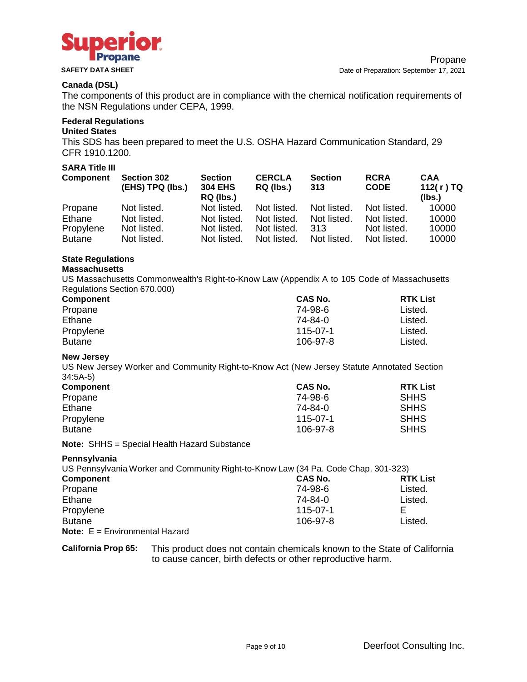

# **Canada (DSL)**

The components of this product are in compliance with the chemical notification requirements of the NSN Regulations under CEPA, 1999.

# **Federal Regulations**

#### **United States**

This SDS has been prepared to meet the U.S. OSHA Hazard Communication Standard, 29 CFR 1910.1200.

# **SARA Title III**

| <b>Component</b> | <b>Section 302</b><br>(EHS) TPQ (lbs.) | <b>Section</b><br><b>304 EHS</b><br>RQ (lbs.) | <b>CERCLA</b><br>RQ (lbs.) | <b>Section</b><br>313 | <b>RCRA</b><br><b>CODE</b> | <b>CAA</b><br>112(r)TQ<br>(Ibs.) |
|------------------|----------------------------------------|-----------------------------------------------|----------------------------|-----------------------|----------------------------|----------------------------------|
| Propane          | Not listed.                            | Not listed.                                   | Not listed.                | Not listed.           | Not listed.                | 10000                            |
| Ethane           | Not listed.                            | Not listed.                                   | Not listed.                | Not listed.           | Not listed.                | 10000                            |
| Propylene        | Not listed.                            | Not listed.                                   | Not listed.                | 313                   | Not listed.                | 10000                            |
| <b>Butane</b>    | Not listed.                            | Not listed.                                   | Not listed.                | Not listed.           | Not listed.                | 10000                            |

# **State Regulations**

# **Massachusetts**

US Massachusetts Commonwealth's Right-to-Know Law (Appendix A to 105 Code of Massachusetts Regulations Section 670.000)

| <b>Component</b> | <b>CAS No.</b> | <b>RTK List</b> |
|------------------|----------------|-----------------|
| Propane          | 74-98-6        | Listed.         |
| Ethane           | 74-84-0        | Listed.         |
| Propylene        | $115 - 07 - 1$ | Listed.         |
| <b>Butane</b>    | 106-97-8       | Listed.         |

#### **New Jersey**

US New Jersey Worker and Community Right-to-Know Act (New Jersey Statute Annotated Section 34:5A-5)

| Component     | <b>CAS No.</b> | <b>RTK List</b> |
|---------------|----------------|-----------------|
| Propane       | 74-98-6        | <b>SHHS</b>     |
| Ethane        | 74-84-0        | <b>SHHS</b>     |
| Propylene     | 115-07-1       | <b>SHHS</b>     |
| <b>Butane</b> | 106-97-8       | <b>SHHS</b>     |

**Note:** SHHS = Special Health Hazard Substance

**Pennsylvania**

| US Pennsylvania Worker and Community Right-to-Know Law (34 Pa. Code Chap. 301-323) |                |                 |
|------------------------------------------------------------------------------------|----------------|-----------------|
| <b>Component</b>                                                                   | CAS No.        | <b>RTK List</b> |
| Propane                                                                            | 74-98-6        | Listed.         |
| Ethane                                                                             | 74-84-0        | Listed.         |
| Propylene                                                                          | $115 - 07 - 1$ |                 |
| <b>Butane</b>                                                                      | 106-97-8       | Listed.         |
| <b>Note:</b> $E =$ Environmental Hazard                                            |                |                 |

**California Prop 65:** This product does not contain chemicals known to the State of California to cause cancer, birth defects or other reproductive harm.